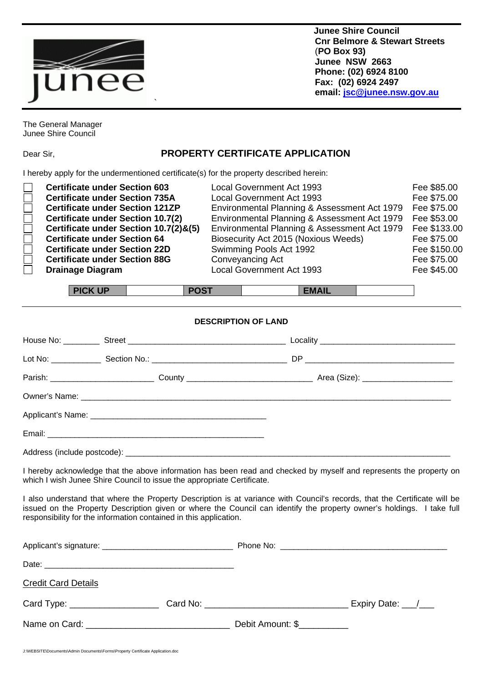

 **Junee Shire Council Cnr Belmore & Stewart Streets** (**PO Box 93) Junee NSW 2663 Phone: (02) 6924 8100 Fax: (02) 6924 2497 email: [jsc@junee.nsw.gov.au](mailto:jsc@junee.nsw.gov.au)**

The General Manager Junee Shire Council

## Dear Sir, **PROPERTY CERTIFICATE APPLICATION**

I hereby apply for the undermentioned certificate(s) for the property described herein:

 $\ddot{ }$ 

| <b>Certificate under Section 603</b><br>$\Box$<br><b>Certificate under Section 735A</b><br>$\Box$<br><b>Certificate under Section 121ZP</b><br>$\Box$<br><b>Certificate under Section 10.7(2)</b><br>Certificate under Section 10.7(2)&(5)<br>$\Box$<br><b>Certificate under Section 64</b><br>$\Box$<br><b>Certificate under Section 22D</b><br>$\Box$<br><b>Certificate under Section 88G</b><br><b>Drainage Diagram</b> | <b>Local Government Act 1993</b><br><b>Local Government Act 1993</b><br>Environmental Planning & Assessment Act 1979<br>Environmental Planning & Assessment Act 1979<br>Environmental Planning & Assessment Act 1979<br>Biosecurity Act 2015 (Noxious Weeds)<br>Swimming Pools Act 1992<br>Conveyancing Act<br>Local Government Act 1993 | Fee \$85.00<br>Fee \$75.00<br>Fee \$75.00<br>Fee \$53.00<br>Fee \$133.00<br>Fee \$75.00<br>Fee \$150.00<br>Fee \$75.00<br>Fee \$45.00 |
|----------------------------------------------------------------------------------------------------------------------------------------------------------------------------------------------------------------------------------------------------------------------------------------------------------------------------------------------------------------------------------------------------------------------------|------------------------------------------------------------------------------------------------------------------------------------------------------------------------------------------------------------------------------------------------------------------------------------------------------------------------------------------|---------------------------------------------------------------------------------------------------------------------------------------|
|----------------------------------------------------------------------------------------------------------------------------------------------------------------------------------------------------------------------------------------------------------------------------------------------------------------------------------------------------------------------------------------------------------------------------|------------------------------------------------------------------------------------------------------------------------------------------------------------------------------------------------------------------------------------------------------------------------------------------------------------------------------------------|---------------------------------------------------------------------------------------------------------------------------------------|

| <b>DICK IIF</b> | -----    |
|-----------------|----------|
| $\sim$          | -117-11- |

## **DESCRIPTION OF LAND**

I hereby acknowledge that the above information has been read and checked by myself and represents the property on which I wish Junee Shire Council to issue the appropriate Certificate.

I also understand that where the Property Description is at variance with Council's records, that the Certificate will be issued on the Property Description given or where the Council can identify the property owner's holdings. I take full responsibility for the information contained in this application.

| <b>Credit Card Details</b>      |                  |                        |
|---------------------------------|------------------|------------------------|
| Card Type: ____________________ |                  | _ Expiry Date: ___/___ |
|                                 | Debit Amount: \$ |                        |